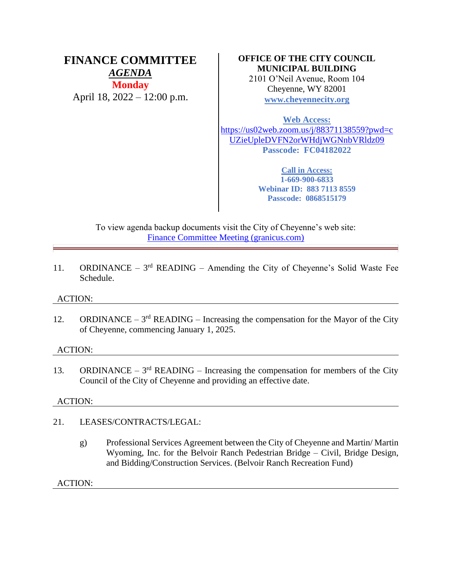# **FINANCE COMMITTEE** *AGENDA* **Monday** April 18, 2022 – 12:00 p.m.

## **OFFICE OF THE CITY COUNCIL MUNICIPAL BUILDING**

2101 O'Neil Avenue, Room 104 Cheyenne, WY 82001 **[www.cheyennecity.org](http://www.cheyennecity.org/)**

**Web Access:**

[https://us02web.zoom.us/j/88371138559?pwd=c](https://us02web.zoom.us/j/88371138559?pwd=cUZieUpleDVFN2orWHdjWGNnbVRldz09) [UZieUpleDVFN2orWHdjWGNnbVRldz09](https://us02web.zoom.us/j/88371138559?pwd=cUZieUpleDVFN2orWHdjWGNnbVRldz09) **Passcode: FC04182022**

> **Call in Access: 1-669-900-6833 Webinar ID: 883 7113 8559 Passcode: 0868515179**

To view agenda backup documents visit the City of Cheyenne's web site: [Finance Committee Meeting \(granicus.com\)](https://cheyenne.granicus.com/GeneratedAgendaViewer.php?event_id=1064)

11. ORDINANCE –  $3<sup>rd</sup>$  READING – Amending the City of Cheyenne's Solid Waste Fee Schedule.

## ACTION:

12. ORDINANCE –  $3<sup>rd</sup>$  READING – Increasing the compensation for the Mayor of the City of Cheyenne, commencing January 1, 2025.

## ACTION:

13. ORDINANCE –  $3<sup>rd</sup>$  READING – Increasing the compensation for members of the City Council of the City of Cheyenne and providing an effective date.

## ACTION:

- 21. LEASES/CONTRACTS/LEGAL:
	- g) Professional Services Agreement between the City of Cheyenne and Martin/ Martin Wyoming, Inc. for the Belvoir Ranch Pedestrian Bridge – Civil, Bridge Design, and Bidding/Construction Services. (Belvoir Ranch Recreation Fund)

ACTION: